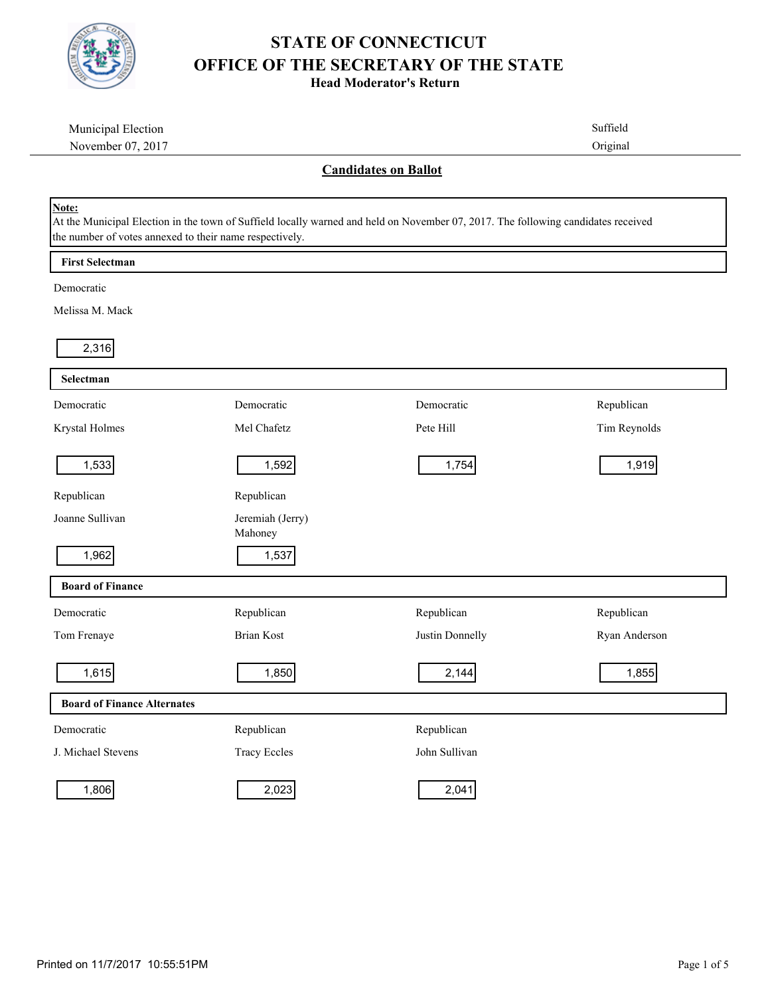

**Head Moderator's Return**

| Municipal Election                                               |                                                                                                                                   |                 | Suffield      |
|------------------------------------------------------------------|-----------------------------------------------------------------------------------------------------------------------------------|-----------------|---------------|
| November 07, 2017                                                |                                                                                                                                   |                 | Original      |
|                                                                  | <b>Candidates on Ballot</b>                                                                                                       |                 |               |
| Note:<br>the number of votes annexed to their name respectively. | At the Municipal Election in the town of Suffield locally warned and held on November 07, 2017. The following candidates received |                 |               |
| <b>First Selectman</b>                                           |                                                                                                                                   |                 |               |
| Democratic                                                       |                                                                                                                                   |                 |               |
| Melissa M. Mack                                                  |                                                                                                                                   |                 |               |
| 2,316                                                            |                                                                                                                                   |                 |               |
| Selectman                                                        |                                                                                                                                   |                 |               |
| Democratic                                                       | Democratic                                                                                                                        | Democratic      | Republican    |
| Krystal Holmes                                                   | Mel Chafetz                                                                                                                       | Pete Hill       | Tim Reynolds  |
| 1,533                                                            | 1,592                                                                                                                             | 1,754           | 1,919         |
| Republican                                                       | Republican                                                                                                                        |                 |               |
| Joanne Sullivan                                                  | Jeremiah (Jerry)<br>Mahoney                                                                                                       |                 |               |
| 1,962                                                            | 1,537                                                                                                                             |                 |               |
| <b>Board of Finance</b>                                          |                                                                                                                                   |                 |               |
| Democratic                                                       | Republican                                                                                                                        | Republican      | Republican    |
| Tom Frenaye                                                      | <b>Brian Kost</b>                                                                                                                 | Justin Donnelly | Ryan Anderson |
| 1,615                                                            | 1,850                                                                                                                             | 2,144           | 1,855         |
| <b>Board of Finance Alternates</b>                               |                                                                                                                                   |                 |               |
| Democratic                                                       | Republican                                                                                                                        | Republican      |               |
| J. Michael Stevens                                               | <b>Tracy Eccles</b>                                                                                                               | John Sullivan   |               |
| 1,806                                                            | 2,023                                                                                                                             | 2,041           |               |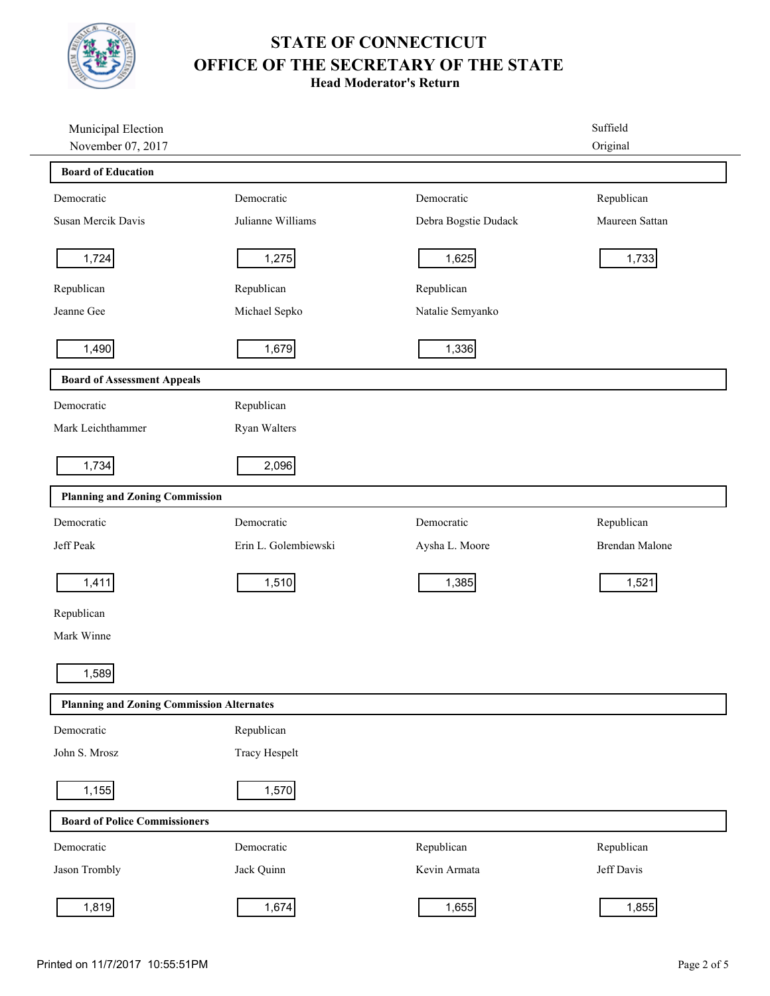

**Head Moderator's Return**

| Municipal Election                               |                      |                      | Suffield       |
|--------------------------------------------------|----------------------|----------------------|----------------|
| November 07, 2017                                |                      |                      | Original       |
| <b>Board of Education</b>                        |                      |                      |                |
| Democratic                                       | Democratic           | Democratic           | Republican     |
| Susan Mercik Davis                               | Julianne Williams    | Debra Bogstie Dudack | Maureen Sattan |
| 1,724                                            | 1,275                | 1,625                | 1,733          |
| Republican                                       | Republican           | Republican           |                |
| Jeanne Gee                                       | Michael Sepko        | Natalie Semyanko     |                |
| 1,490                                            | 1,679                | 1,336                |                |
| <b>Board of Assessment Appeals</b>               |                      |                      |                |
| Democratic                                       | Republican           |                      |                |
| Mark Leichthammer                                | Ryan Walters         |                      |                |
| 1,734                                            | 2,096                |                      |                |
| <b>Planning and Zoning Commission</b>            |                      |                      |                |
| Democratic                                       | Democratic           | Democratic           | Republican     |
| Jeff Peak                                        | Erin L. Golembiewski | Aysha L. Moore       | Brendan Malone |
| 1,411                                            | 1,510                | 1,385                | 1,521          |
| Republican                                       |                      |                      |                |
| Mark Winne                                       |                      |                      |                |
| 1,589                                            |                      |                      |                |
| <b>Planning and Zoning Commission Alternates</b> |                      |                      |                |
| Democratic                                       | Republican           |                      |                |
| John S. Mrosz                                    | <b>Tracy Hespelt</b> |                      |                |
| 1,155                                            | 1,570                |                      |                |
| <b>Board of Police Commissioners</b>             |                      |                      |                |
| Democratic                                       | Democratic           | Republican           | Republican     |
| Jason Trombly                                    | Jack Quinn           | Kevin Armata         | Jeff Davis     |
| 1,819                                            | 1,674                | 1,655                | 1,855          |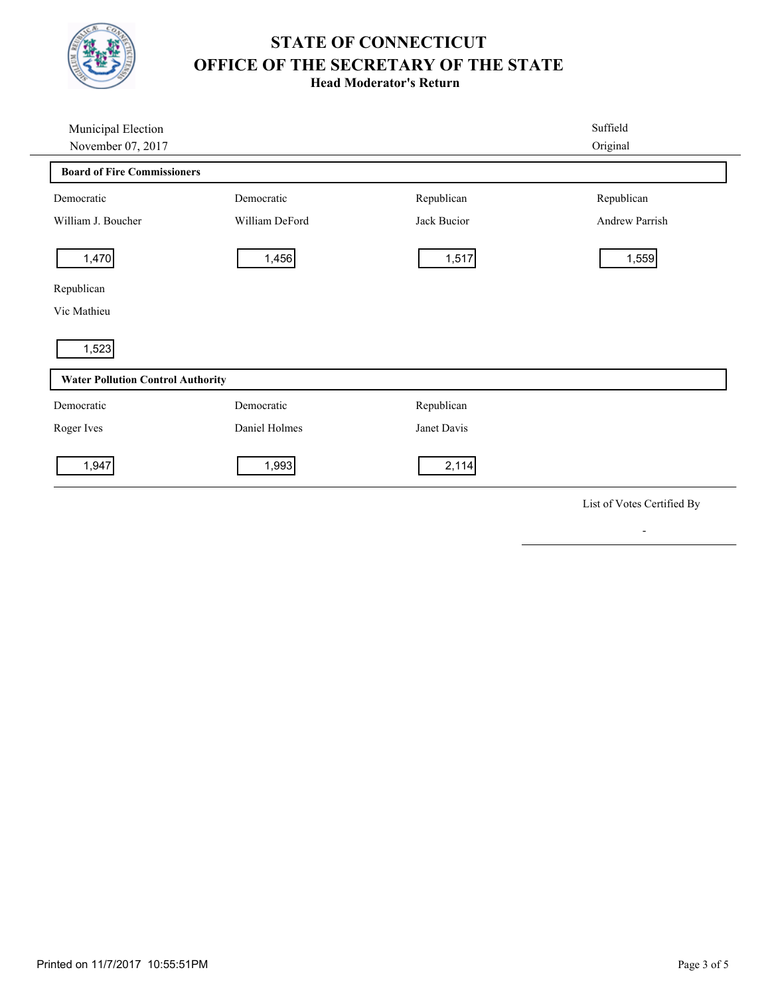

**Head Moderator's Return**

| Municipal Election                       |                |             | Suffield       |
|------------------------------------------|----------------|-------------|----------------|
| November 07, 2017                        |                |             | Original       |
| <b>Board of Fire Commissioners</b>       |                |             |                |
| Democratic                               | Democratic     | Republican  | Republican     |
| William J. Boucher                       | William DeFord | Jack Bucior | Andrew Parrish |
| 1,470                                    | 1,456          | 1,517       | 1,559          |
| Republican                               |                |             |                |
| Vic Mathieu                              |                |             |                |
| 1,523                                    |                |             |                |
| <b>Water Pollution Control Authority</b> |                |             |                |
| Democratic                               | Democratic     | Republican  |                |
| Roger Ives                               | Daniel Holmes  | Janet Davis |                |
| 1,947                                    | 1,993          | 2,114       |                |
|                                          |                |             |                |

List of Votes Certified By

-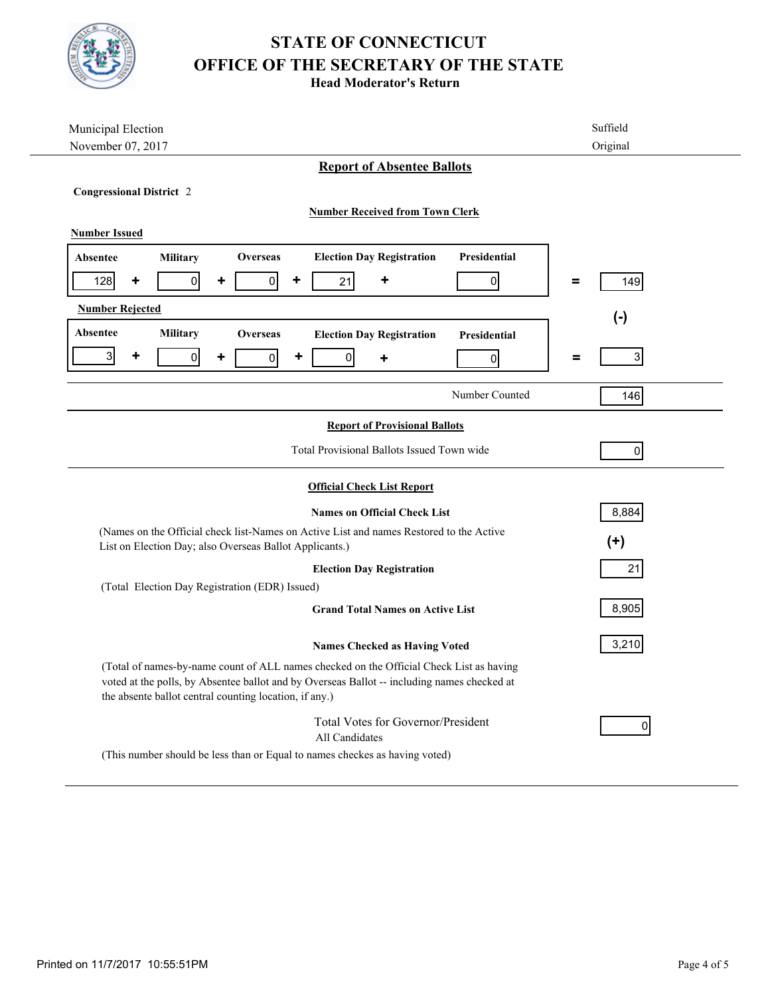

**Head Moderator's Return**

| Municipal Election                                                                                                                                                                                                                               | Suffield            |  |  |  |  |
|--------------------------------------------------------------------------------------------------------------------------------------------------------------------------------------------------------------------------------------------------|---------------------|--|--|--|--|
| November 07, 2017                                                                                                                                                                                                                                | Original            |  |  |  |  |
| <b>Report of Absentee Ballots</b>                                                                                                                                                                                                                |                     |  |  |  |  |
| <b>Congressional District 2</b>                                                                                                                                                                                                                  |                     |  |  |  |  |
| <b>Number Received from Town Clerk</b>                                                                                                                                                                                                           |                     |  |  |  |  |
| <b>Number Issued</b>                                                                                                                                                                                                                             |                     |  |  |  |  |
|                                                                                                                                                                                                                                                  |                     |  |  |  |  |
| <b>Election Day Registration</b><br><b>Presidential</b><br><b>Military</b><br>Overseas<br>Absentee                                                                                                                                               |                     |  |  |  |  |
| $\mathbf{0}$<br>٠<br>21<br>٠<br>128<br>٠<br>0<br>٠<br>0                                                                                                                                                                                          | 149<br>Ξ            |  |  |  |  |
| <b>Number Rejected</b>                                                                                                                                                                                                                           | $(-)$               |  |  |  |  |
| Absentee<br><b>Military</b><br><b>Overseas</b><br><b>Election Day Registration</b><br><b>Presidential</b>                                                                                                                                        |                     |  |  |  |  |
| $\overline{3}$<br>٠<br>$\overline{0}$<br>$\overline{0}$<br>$\overline{0}$<br>٠<br>٠<br>$\overline{0}$<br>٠                                                                                                                                       | 3 <sup>1</sup><br>Ξ |  |  |  |  |
|                                                                                                                                                                                                                                                  |                     |  |  |  |  |
| Number Counted                                                                                                                                                                                                                                   | 146                 |  |  |  |  |
| <b>Report of Provisional Ballots</b>                                                                                                                                                                                                             |                     |  |  |  |  |
| Total Provisional Ballots Issued Town wide                                                                                                                                                                                                       | 0                   |  |  |  |  |
| <b>Official Check List Report</b>                                                                                                                                                                                                                |                     |  |  |  |  |
| <b>Names on Official Check List</b>                                                                                                                                                                                                              | 8,884               |  |  |  |  |
| (Names on the Official check list-Names on Active List and names Restored to the Active<br>List on Election Day; also Overseas Ballot Applicants.)                                                                                               | $(+)$               |  |  |  |  |
| <b>Election Day Registration</b>                                                                                                                                                                                                                 | 21                  |  |  |  |  |
| (Total Election Day Registration (EDR) Issued)                                                                                                                                                                                                   |                     |  |  |  |  |
| <b>Grand Total Names on Active List</b>                                                                                                                                                                                                          | 8,905               |  |  |  |  |
| <b>Names Checked as Having Voted</b>                                                                                                                                                                                                             | 3,210               |  |  |  |  |
| (Total of names-by-name count of ALL names checked on the Official Check List as having<br>voted at the polls, by Absentee ballot and by Overseas Ballot -- including names checked at<br>the absente ballot central counting location, if any.) |                     |  |  |  |  |
| <b>Total Votes for Governor/President</b><br>All Candidates                                                                                                                                                                                      | $\overline{0}$      |  |  |  |  |
| (This number should be less than or Equal to names checkes as having voted)                                                                                                                                                                      |                     |  |  |  |  |